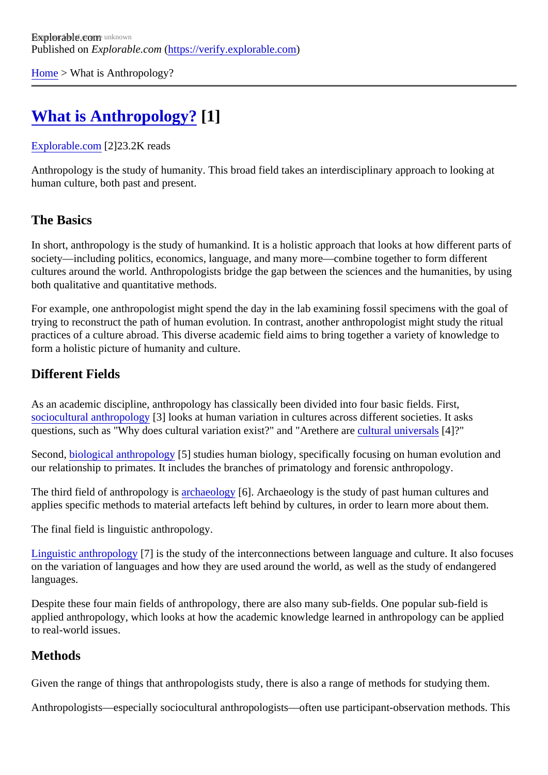[Home](https://verify.explorable.com/) > What is Anthropology?

# [What is Anthropology?](https://verify.explorable.com/what-is-anthropology) [1]

#### [Explorable.com](https://verify.explorable.com/)[2]23.2K reads

Anthropology is the study of humanity. This broad field takes an interdisciplinary approach to looking at human culture, both past and present.

## The Basics

In short, anthropology is the study of humankind. It is a holistic approach that looks at how different parts o society—including politics, economics, language, and many more—combine together to form different cultures around the world. Anthropologists bridge the gap between the sciences and the humanities, by us both qualitative and quantitative methods.

For example, one anthropologist might spend the day in the lab examining fossil specimens with the goal trying to reconstruct the path of human evolution. In contrast, another anthropologist might study the ritual practices of a culture abroad. This diverse academic field aims to bring together a variety of knowledge to form a holistic picture of humanity and culture.

## Different Fields

As an academic discipline, anthropology has classically been divided into four basic fields. First, [sociocultural anthropolog](https://explorable.com/sociocultural-anthropology)<sup>[2]</sup> looks at human variation in cultures across different societies. It asks questions, such as "Why does cultural variation exist?" and "Arethere are universals4]?"

Secondbiological anthropology<sup>5</sup>] studies human biology, specifically focusing on human evolution and our relationship to primates. It includes the branches of primatology and forensic anthropology.

The third field of anthropology is chaeology[6]. Archaeology is the study of past human cultures and applies specific methods to material artefacts left behind by cultures, in order to learn more about them.

The final field is linguistic anthropology.

[Linguistic anthropolog](https://explorable.com/linguistic-anthropology)y<sup>[7]</sup> is the study of the interconnections between language and culture. It also focuse on the variation of languages and how they are used around the world, as well as the study of endangered languages.

Despite these four main fields of anthropology, there are also many sub-fields. One popular sub-field is applied anthropology, which looks at how the academic knowledge learned in anthropology can be applied to real-world issues.

#### **Methods**

Given the range of things that anthropologists study, there is also a range of methods for studying them.

Anthropologists—especially sociocultural anthropologists—often use participant-observation methods. This